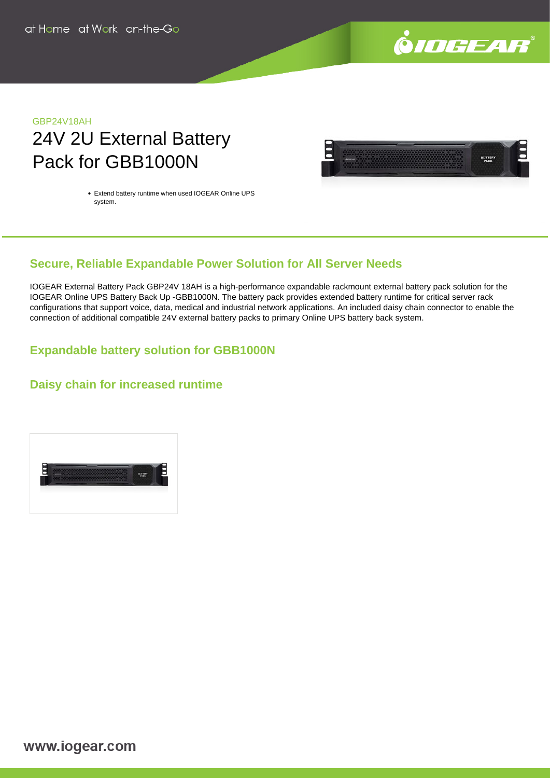

# GBP24V18AH 24V 2U External Battery Pack for GBB1000N



Extend battery runtime when used IOGEAR Online UPS system.

# **Secure, Reliable Expandable Power Solution for All Server Needs**

IOGEAR External Battery Pack GBP24V 18AH is a high-performance expandable rackmount external battery pack solution for the IOGEAR Online UPS Battery Back Up -GBB1000N. The battery pack provides extended battery runtime for critical server rack configurations that support voice, data, medical and industrial network applications. An included daisy chain connector to enable the connection of additional compatible 24V external battery packs to primary Online UPS battery back system.

## **Expandable battery solution for GBB1000N**

### **Daisy chain for increased runtime**